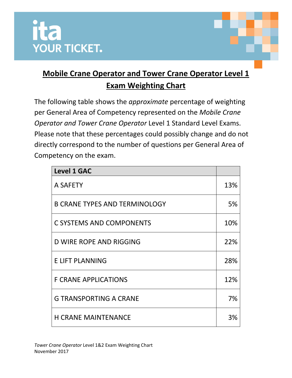



The following table shows the *approximate* percentage of weighting per General Area of Competency represented on the *Mobile Crane Operator and Tower Crane Operator* Level 1 Standard Level Exams. Please note that these percentages could possibly change and do not directly correspond to the number of questions per General Area of Competency on the exam.

| <b>Level 1 GAC</b>                   |     |
|--------------------------------------|-----|
| A SAFETY                             | 13% |
| <b>B CRANE TYPES AND TERMINOLOGY</b> | 5%  |
| <b>C SYSTEMS AND COMPONENTS</b>      | 10% |
| <b>D WIRE ROPE AND RIGGING</b>       | 22% |
| <b>E LIFT PLANNING</b>               | 28% |
| <b>F CRANE APPLICATIONS</b>          | 12% |
| <b>G TRANSPORTING A CRANE</b>        | 7%  |
| <b>H CRANE MAINTENANCE</b>           | 3%  |